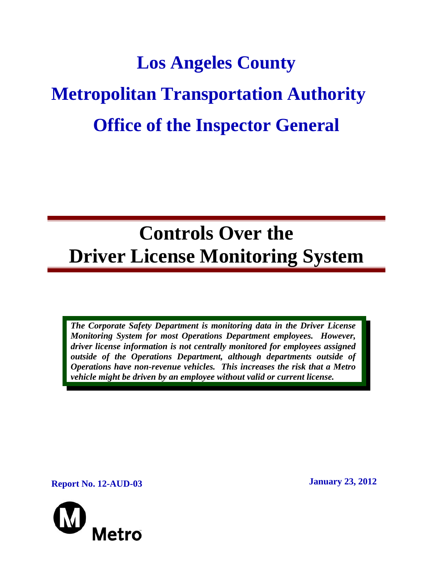# **Los Angeles County Metropolitan Transportation Authority Office of the Inspector General**

# **Controls Over the Driver License Monitoring System**

*The Corporate Safety Department is monitoring data in the Driver License Monitoring System for most Operations Department employees. However, driver license information is not centrally monitored for employees assigned outside of the Operations Department, although departments outside of Operations have non-revenue vehicles. This increases the risk that a Metro vehicle might be driven by an employee without valid or current license.* 

**Report No. 12-AUD-03 January 23, 2012** 

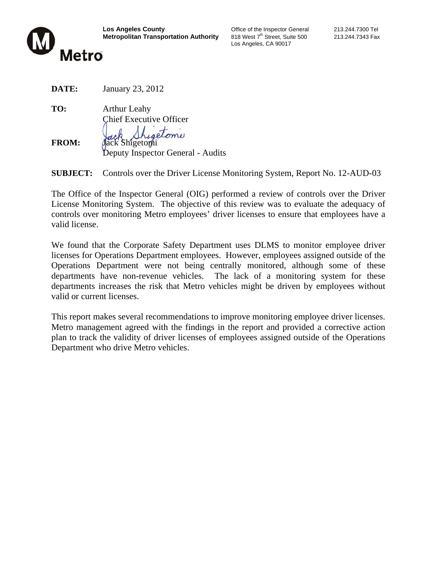

**Los Angeles County Connect County** Coffice of the Inspector General 213.244.7300 Tel<br> **Metropolitan Transportation Authority** 818 West 7<sup>th</sup> Street, Suite 500 213.244.7343 Fax **Metropolitan Transportation Authority** 818 West 7th Street, Suite 500 213.244.7343 Fax Los Angeles, CA 90017

**DATE:** January 23, 2012

**TO:** Arthur Leahy Chief Executive Officer pestoni

FROM: **Jack Shigetomi** 

Deputy Inspector General - Audits

**SUBJECT:** Controls over the Driver License Monitoring System, Report No. 12-AUD-03

The Office of the Inspector General (OIG) performed a review of controls over the Driver License Monitoring System. The objective of this review was to evaluate the adequacy of controls over monitoring Metro employees' driver licenses to ensure that employees have a valid license.

We found that the Corporate Safety Department uses DLMS to monitor employee driver licenses for Operations Department employees. However, employees assigned outside of the Operations Department were not being centrally monitored, although some of these departments have non-revenue vehicles. The lack of a monitoring system for these departments increases the risk that Metro vehicles might be driven by employees without valid or current licenses.

This report makes several recommendations to improve monitoring employee driver licenses. Metro management agreed with the findings in the report and provided a corrective action plan to track the validity of driver licenses of employees assigned outside of the Operations Department who drive Metro vehicles.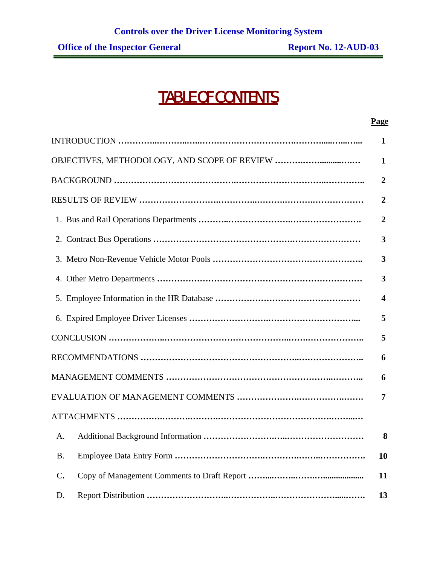# TABLE OF CONTENTS

#### **Page**

|               | $\mathbf{1}$            |
|---------------|-------------------------|
|               | 1                       |
|               | $\overline{2}$          |
|               | $\overline{2}$          |
|               | $\overline{2}$          |
|               | 3                       |
|               | 3                       |
|               | $\overline{\mathbf{3}}$ |
|               | $\overline{\mathbf{4}}$ |
|               | 5                       |
|               | 5                       |
|               | 6                       |
|               | 6                       |
|               | 7                       |
|               |                         |
| A.            | 8                       |
| <b>B.</b>     | <b>10</b>               |
| $C_{\bullet}$ | 11                      |
| D.            | 13                      |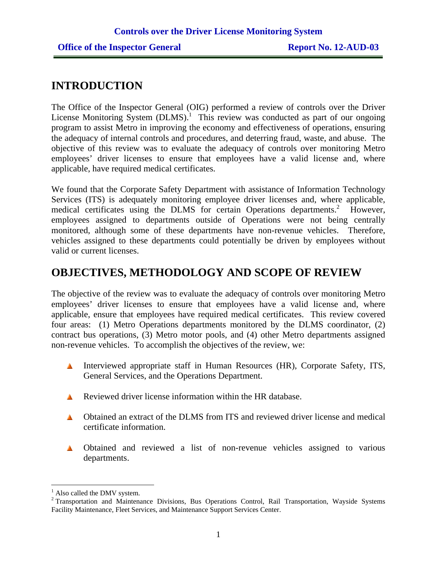## **INTRODUCTION**

The Office of the Inspector General (OIG) performed a review of controls over the Driver License Monitoring System  $(DLMS)$ <sup>1</sup>. This review was conducted as part of our ongoing program to assist Metro in improving the economy and effectiveness of operations, ensuring the adequacy of internal controls and procedures, and deterring fraud, waste, and abuse. The objective of this review was to evaluate the adequacy of controls over monitoring Metro employees' driver licenses to ensure that employees have a valid license and, where applicable, have required medical certificates.

We found that the Corporate Safety Department with assistance of Information Technology Services (ITS) is adequately monitoring employee driver licenses and, where applicable, medical certificates using the DLMS for certain Operations departments.<sup>2</sup> However, employees assigned to departments outside of Operations were not being centrally monitored, although some of these departments have non-revenue vehicles. Therefore, vehicles assigned to these departments could potentially be driven by employees without valid or current licenses.

## **OBJECTIVES, METHODOLOGY AND SCOPE OF REVIEW**

The objective of the review was to evaluate the adequacy of controls over monitoring Metro employees' driver licenses to ensure that employees have a valid license and, where applicable, ensure that employees have required medical certificates. This review covered four areas: (1) Metro Operations departments monitored by the DLMS coordinator, (2) contract bus operations, (3) Metro motor pools, and (4) other Metro departments assigned non-revenue vehicles. To accomplish the objectives of the review, we:

- **Interviewed appropriate staff in Human Resources (HR), Corporate Safety, ITS,** General Services, and the Operations Department.
- **A** Reviewed driver license information within the HR database.
- Obtained an extract of the DLMS from ITS and reviewed driver license and medical certificate information.
- **A** Obtained and reviewed a list of non-revenue vehicles assigned to various departments.

 $\overline{a}$ <sup>1</sup> Also called the DMV system.

<sup>&</sup>lt;sup>2</sup> Transportation and Maintenance Divisions, Bus Operations Control, Rail Transportation, Wayside Systems Facility Maintenance, Fleet Services, and Maintenance Support Services Center.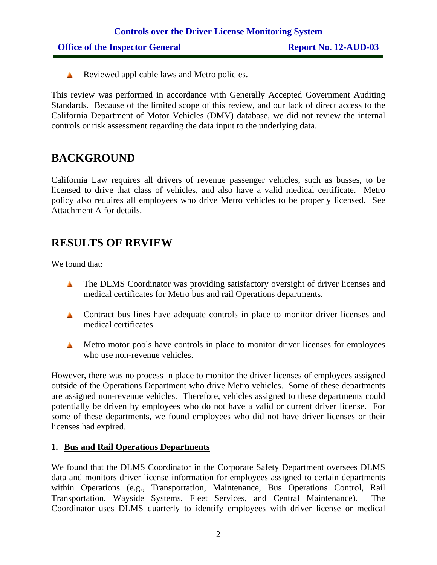Reviewed applicable laws and Metro policies.

This review was performed in accordance with Generally Accepted Government Auditing Standards. Because of the limited scope of this review, and our lack of direct access to the California Department of Motor Vehicles (DMV) database, we did not review the internal controls or risk assessment regarding the data input to the underlying data.

## **BACKGROUND**

California Law requires all drivers of revenue passenger vehicles, such as busses, to be licensed to drive that class of vehicles, and also have a valid medical certificate. Metro policy also requires all employees who drive Metro vehicles to be properly licensed. See Attachment A for details.

## **RESULTS OF REVIEW**

We found that:

- **The DLMS Coordinator was providing satisfactory oversight of driver licenses and** medical certificates for Metro bus and rail Operations departments.
- **A** Contract bus lines have adequate controls in place to monitor driver licenses and medical certificates.
- Metro motor pools have controls in place to monitor driver licenses for employees who use non-revenue vehicles.

However, there was no process in place to monitor the driver licenses of employees assigned outside of the Operations Department who drive Metro vehicles. Some of these departments are assigned non-revenue vehicles. Therefore, vehicles assigned to these departments could potentially be driven by employees who do not have a valid or current driver license. For some of these departments, we found employees who did not have driver licenses or their licenses had expired.

#### **1. Bus and Rail Operations Departments**

We found that the DLMS Coordinator in the Corporate Safety Department oversees DLMS data and monitors driver license information for employees assigned to certain departments within Operations (e.g., Transportation, Maintenance, Bus Operations Control, Rail Transportation, Wayside Systems, Fleet Services, and Central Maintenance). The Coordinator uses DLMS quarterly to identify employees with driver license or medical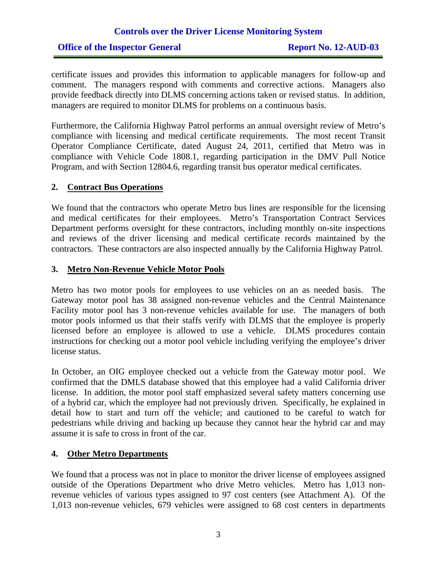#### **Office of the Inspector General Report No. 12-AUD-03**

certificate issues and provides this information to applicable managers for follow-up and comment. The managers respond with comments and corrective actions. Managers also provide feedback directly into DLMS concerning actions taken or revised status. In addition, managers are required to monitor DLMS for problems on a continuous basis.

Furthermore, the California Highway Patrol performs an annual oversight review of Metro's compliance with licensing and medical certificate requirements. The most recent Transit Operator Compliance Certificate, dated August 24, 2011, certified that Metro was in compliance with Vehicle Code 1808.1, regarding participation in the DMV Pull Notice Program, and with Section 12804.6, regarding transit bus operator medical certificates.

#### **2. Contract Bus Operations**

We found that the contractors who operate Metro bus lines are responsible for the licensing and medical certificates for their employees. Metro's Transportation Contract Services Department performs oversight for these contractors, including monthly on-site inspections and reviews of the driver licensing and medical certificate records maintained by the contractors. These contractors are also inspected annually by the California Highway Patrol.

#### **3. Metro Non-Revenue Vehicle Motor Pools**

Metro has two motor pools for employees to use vehicles on an as needed basis. The Gateway motor pool has 38 assigned non-revenue vehicles and the Central Maintenance Facility motor pool has 3 non-revenue vehicles available for use. The managers of both motor pools informed us that their staffs verify with DLMS that the employee is properly licensed before an employee is allowed to use a vehicle. DLMS procedures contain instructions for checking out a motor pool vehicle including verifying the employee's driver license status.

In October, an OIG employee checked out a vehicle from the Gateway motor pool. We confirmed that the DMLS database showed that this employee had a valid California driver license. In addition, the motor pool staff emphasized several safety matters concerning use of a hybrid car, which the employee had not previously driven. Specifically, he explained in detail how to start and turn off the vehicle; and cautioned to be careful to watch for pedestrians while driving and backing up because they cannot hear the hybrid car and may assume it is safe to cross in front of the car.

#### **4. Other Metro Departments**

We found that a process was not in place to monitor the driver license of employees assigned outside of the Operations Department who drive Metro vehicles. Metro has 1,013 nonrevenue vehicles of various types assigned to 97 cost centers (see Attachment A). Of the 1,013 non-revenue vehicles, 679 vehicles were assigned to 68 cost centers in departments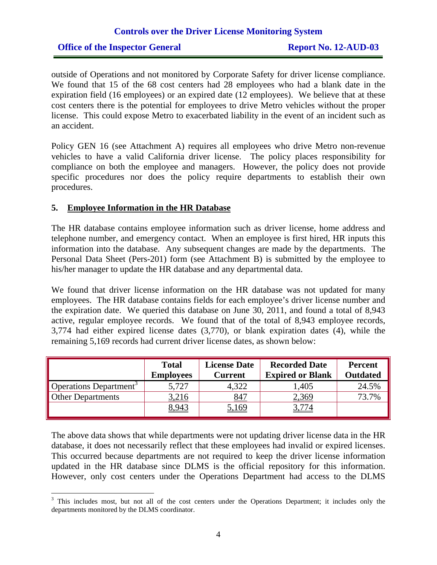#### **Office of the Inspector General Report No. 12-AUD-03**

outside of Operations and not monitored by Corporate Safety for driver license compliance. We found that 15 of the 68 cost centers had 28 employees who had a blank date in the expiration field (16 employees) or an expired date (12 employees). We believe that at these cost centers there is the potential for employees to drive Metro vehicles without the proper license. This could expose Metro to exacerbated liability in the event of an incident such as an accident.

Policy GEN 16 (see Attachment A) requires all employees who drive Metro non-revenue vehicles to have a valid California driver license. The policy places responsibility for compliance on both the employee and managers. However, the policy does not provide specific procedures nor does the policy require departments to establish their own procedures.

#### **5. Employee Information in the HR Database**

 $\overline{a}$ 

The HR database contains employee information such as driver license, home address and telephone number, and emergency contact. When an employee is first hired, HR inputs this information into the database. Any subsequent changes are made by the departments. The Personal Data Sheet (Pers-201) form (see Attachment B) is submitted by the employee to his/her manager to update the HR database and any departmental data.

We found that driver license information on the HR database was not updated for many employees. The HR database contains fields for each employee's driver license number and the expiration date. We queried this database on June 30, 2011, and found a total of 8,943 active, regular employee records. We found that of the total of 8,943 employee records, 3,774 had either expired license dates (3,770), or blank expiration dates (4), while the remaining 5,169 records had current driver license dates, as shown below:

|                                    | <b>Total</b><br><b>Employees</b> | <b>License Date</b><br><b>Current</b> | <b>Recorded Date</b><br><b>Expired or Blank</b> | <b>Percent</b><br><b>Outdated</b> |
|------------------------------------|----------------------------------|---------------------------------------|-------------------------------------------------|-----------------------------------|
| Operations Department <sup>3</sup> | 5,727                            | 4,322                                 | 1,405                                           | 24.5%                             |
| <b>Other Departments</b>           | <u>3,216</u>                     | 847                                   | 2,369                                           | 73.7%                             |
|                                    | 8,943                            | 5,169                                 | 3,774                                           |                                   |

The above data shows that while departments were not updating driver license data in the HR database, it does not necessarily reflect that these employees had invalid or expired licenses. This occurred because departments are not required to keep the driver license information updated in the HR database since DLMS is the official repository for this information. However, only cost centers under the Operations Department had access to the DLMS

<sup>&</sup>lt;sup>3</sup> This includes most, but not all of the cost centers under the Operations Department; it includes only the departments monitored by the DLMS coordinator.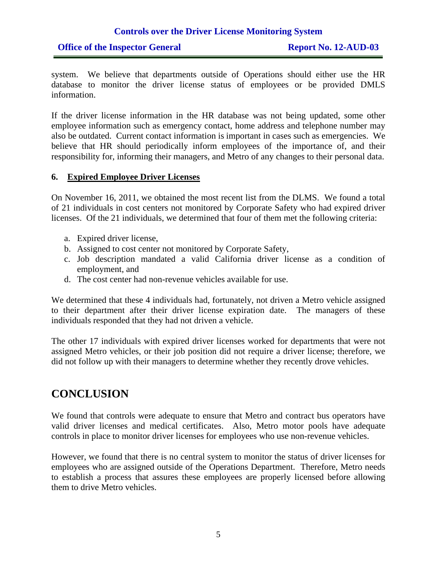#### **Office of the Inspector General Report No. 12-AUD-03**

system. We believe that departments outside of Operations should either use the HR database to monitor the driver license status of employees or be provided DMLS information.

If the driver license information in the HR database was not being updated, some other employee information such as emergency contact, home address and telephone number may also be outdated. Current contact information is important in cases such as emergencies. We believe that HR should periodically inform employees of the importance of, and their responsibility for, informing their managers, and Metro of any changes to their personal data.

#### **6. Expired Employee Driver Licenses**

On November 16, 2011, we obtained the most recent list from the DLMS. We found a total of 21 individuals in cost centers not monitored by Corporate Safety who had expired driver licenses. Of the 21 individuals, we determined that four of them met the following criteria:

- a. Expired driver license,
- b. Assigned to cost center not monitored by Corporate Safety,
- c. Job description mandated a valid California driver license as a condition of employment, and
- d. The cost center had non-revenue vehicles available for use.

We determined that these 4 individuals had, fortunately, not driven a Metro vehicle assigned to their department after their driver license expiration date. The managers of these individuals responded that they had not driven a vehicle.

The other 17 individuals with expired driver licenses worked for departments that were not assigned Metro vehicles, or their job position did not require a driver license; therefore, we did not follow up with their managers to determine whether they recently drove vehicles.

## **CONCLUSION**

We found that controls were adequate to ensure that Metro and contract bus operators have valid driver licenses and medical certificates. Also, Metro motor pools have adequate controls in place to monitor driver licenses for employees who use non-revenue vehicles.

However, we found that there is no central system to monitor the status of driver licenses for employees who are assigned outside of the Operations Department. Therefore, Metro needs to establish a process that assures these employees are properly licensed before allowing them to drive Metro vehicles.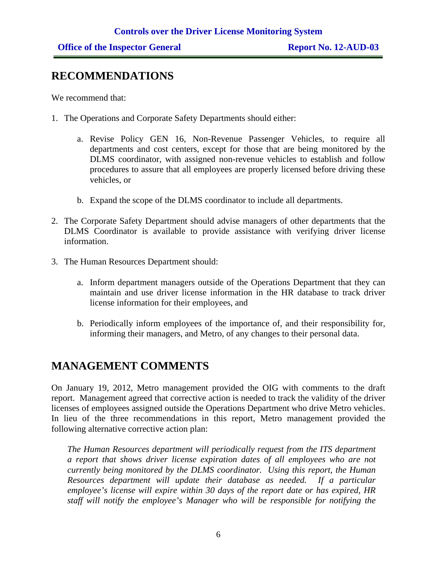## **RECOMMENDATIONS**

We recommend that:

- 1. The Operations and Corporate Safety Departments should either:
	- a. Revise Policy GEN 16, Non-Revenue Passenger Vehicles, to require all departments and cost centers, except for those that are being monitored by the DLMS coordinator, with assigned non-revenue vehicles to establish and follow procedures to assure that all employees are properly licensed before driving these vehicles, or
	- b. Expand the scope of the DLMS coordinator to include all departments.
- 2. The Corporate Safety Department should advise managers of other departments that the DLMS Coordinator is available to provide assistance with verifying driver license information.
- 3. The Human Resources Department should:
	- a. Inform department managers outside of the Operations Department that they can maintain and use driver license information in the HR database to track driver license information for their employees, and
	- b. Periodically inform employees of the importance of, and their responsibility for, informing their managers, and Metro, of any changes to their personal data.

## **MANAGEMENT COMMENTS**

On January 19, 2012, Metro management provided the OIG with comments to the draft report. Management agreed that corrective action is needed to track the validity of the driver licenses of employees assigned outside the Operations Department who drive Metro vehicles. In lieu of the three recommendations in this report, Metro management provided the following alternative corrective action plan:

*The Human Resources department will periodically request from the ITS department a report that shows driver license expiration dates of all employees who are not currently being monitored by the DLMS coordinator. Using this report, the Human Resources department will update their database as needed. If a particular employee's license will expire within 30 days of the report date or has expired, HR staff will notify the employee's Manager who will be responsible for notifying the*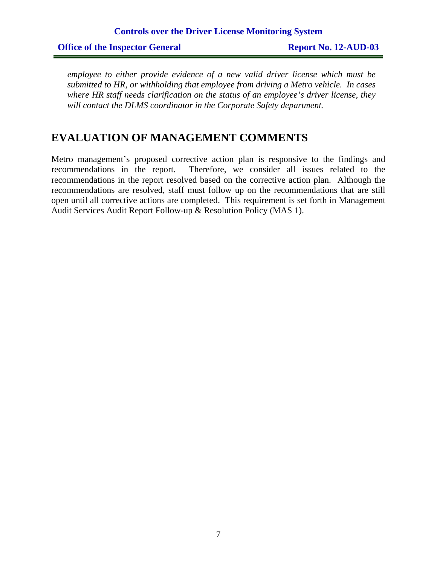*employee to either provide evidence of a new valid driver license which must be submitted to HR, or withholding that employee from driving a Metro vehicle. In cases where HR staff needs clarification on the status of an employee's driver license, they will contact the DLMS coordinator in the Corporate Safety department.* 

## **EVALUATION OF MANAGEMENT COMMENTS**

Metro management's proposed corrective action plan is responsive to the findings and recommendations in the report. Therefore, we consider all issues related to the recommendations in the report resolved based on the corrective action plan. Although the recommendations are resolved, staff must follow up on the recommendations that are still open until all corrective actions are completed. This requirement is set forth in Management Audit Services Audit Report Follow-up & Resolution Policy (MAS 1).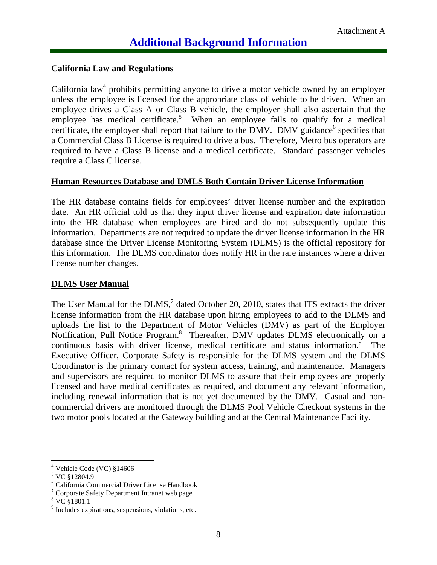#### **California Law and Regulations**

California law<sup>4</sup> prohibits permitting anyone to drive a motor vehicle owned by an employer unless the employee is licensed for the appropriate class of vehicle to be driven. When an employee drives a Class A or Class B vehicle, the employer shall also ascertain that the employee has medical certificate.<sup>5</sup> When an employee fails to qualify for a medical certificate, the employer shall report that failure to the DMV. DMV guidance<sup>6</sup> specifies that a Commercial Class B License is required to drive a bus. Therefore, Metro bus operators are required to have a Class B license and a medical certificate. Standard passenger vehicles require a Class C license.

#### **Human Resources Database and DMLS Both Contain Driver License Information**

The HR database contains fields for employees' driver license number and the expiration date. An HR official told us that they input driver license and expiration date information into the HR database when employees are hired and do not subsequently update this information. Departments are not required to update the driver license information in the HR database since the Driver License Monitoring System (DLMS) is the official repository for this information. The DLMS coordinator does notify HR in the rare instances where a driver license number changes.

#### **DLMS User Manual**

The User Manual for the DLMS, $<sup>7</sup>$  dated October 20, 2010, states that ITS extracts the driver</sup> license information from the HR database upon hiring employees to add to the DLMS and uploads the list to the Department of Motor Vehicles (DMV) as part of the Employer Notification, Pull Notice Program.<sup>8</sup> Thereafter, DMV updates DLMS electronically on a continuous basis with driver license, medical certificate and status information.<sup>9</sup> The Executive Officer, Corporate Safety is responsible for the DLMS system and the DLMS Coordinator is the primary contact for system access, training, and maintenance. Managers and supervisors are required to monitor DLMS to assure that their employees are properly licensed and have medical certificates as required, and document any relevant information, including renewal information that is not yet documented by the DMV. Casual and noncommercial drivers are monitored through the DLMS Pool Vehicle Checkout systems in the two motor pools located at the Gateway building and at the Central Maintenance Facility.

 $\overline{a}$ 

<sup>4</sup> Vehicle Code (VC) §14606

<sup>&</sup>lt;sup>5</sup> VC §12804.9

<sup>6</sup> California Commercial Driver License Handbook

<sup>&</sup>lt;sup>7</sup> Corporate Safety Department Intranet web page

<sup>8</sup> VC §1801.1

<sup>&</sup>lt;sup>9</sup> Includes expirations, suspensions, violations, etc.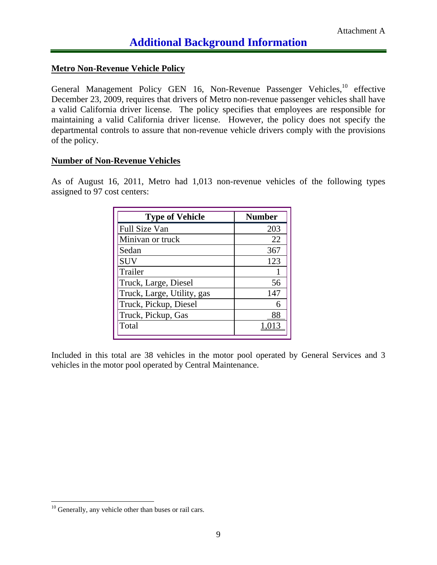#### **Metro Non-Revenue Vehicle Policy**

General Management Policy GEN 16, Non-Revenue Passenger Vehicles,<sup>10</sup> effective December 23, 2009, requires that drivers of Metro non-revenue passenger vehicles shall have a valid California driver license. The policy specifies that employees are responsible for maintaining a valid California driver license. However, the policy does not specify the departmental controls to assure that non-revenue vehicle drivers comply with the provisions of the policy.

#### **Number of Non-Revenue Vehicles**

As of August 16, 2011, Metro had 1,013 non-revenue vehicles of the following types assigned to 97 cost centers:

| <b>Type of Vehicle</b>     | <b>Number</b> |
|----------------------------|---------------|
| Full Size Van              | 203           |
| Minivan or truck           | 22            |
| Sedan                      | 367           |
| <b>SUV</b>                 | 123           |
| Trailer                    |               |
| Truck, Large, Diesel       | 56            |
| Truck, Large, Utility, gas | 147           |
| Truck, Pickup, Diesel      | 6             |
| Truck, Pickup, Gas         |               |
| Total                      |               |

Included in this total are 38 vehicles in the motor pool operated by General Services and 3 vehicles in the motor pool operated by Central Maintenance.

 $\overline{a}$ 

 $10$  Generally, any vehicle other than buses or rail cars.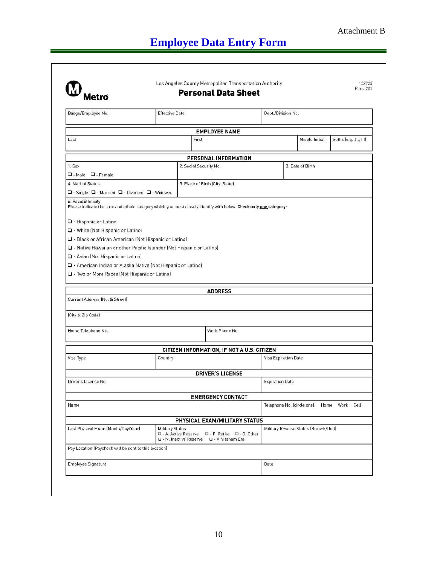## **Employee Data Entry Form**

| Badge/Employee No.                                                                                                                                                                                                                                                                                                                                        | <b>Effective Date</b>                             |                                                                        |                        | Dept./Division No.                    |                                            |  |
|-----------------------------------------------------------------------------------------------------------------------------------------------------------------------------------------------------------------------------------------------------------------------------------------------------------------------------------------------------------|---------------------------------------------------|------------------------------------------------------------------------|------------------------|---------------------------------------|--------------------------------------------|--|
|                                                                                                                                                                                                                                                                                                                                                           |                                                   | <b>EMPLOYEE NAME</b>                                                   |                        |                                       |                                            |  |
| Last                                                                                                                                                                                                                                                                                                                                                      | First                                             |                                                                        |                        | Middle Initial                        | Suffix (e.g. Jr., III)                     |  |
|                                                                                                                                                                                                                                                                                                                                                           |                                                   | PERSONAL INFORMATION                                                   |                        |                                       |                                            |  |
| 1. Sex                                                                                                                                                                                                                                                                                                                                                    | 2. Social Security No.                            |                                                                        |                        | 3. Date of Birth                      |                                            |  |
| $\Box$ - Male $\Box$ - Female                                                                                                                                                                                                                                                                                                                             |                                                   |                                                                        |                        |                                       |                                            |  |
| 4. Marital Status                                                                                                                                                                                                                                                                                                                                         |                                                   | 5. Place of Birth (City, State)                                        |                        |                                       |                                            |  |
| $\Box$ - Single $\Box$ - Married $\Box$ - Divorced $\Box$ - Widowed                                                                                                                                                                                                                                                                                       |                                                   |                                                                        |                        |                                       |                                            |  |
| Q - Hispanic or Latino<br>O - White (Not Hispanic or Latino)<br>Q - Black or African American (Not Hispanic or Latino)<br>Q - Native Hawaiian or other Pacific Islander (Not Hispanic or Latino)<br>Q - Asian (Not Hispanic or Latino)<br>U - American Indian or Alaska Native (Not Hispanic or Latino)<br>□ - Two or More Races (Not Hispanic or Latino) |                                                   |                                                                        |                        |                                       |                                            |  |
| Current Address (No. & Street)<br>(City & Zip Code)                                                                                                                                                                                                                                                                                                       |                                                   | <b>ADDRESS</b>                                                         |                        |                                       |                                            |  |
| Home Telephone No.                                                                                                                                                                                                                                                                                                                                        |                                                   | Work Phone No.                                                         |                        |                                       |                                            |  |
|                                                                                                                                                                                                                                                                                                                                                           |                                                   | CITIZEN INFORMATION, IF NOT A U.S. CITIZEN                             |                        |                                       |                                            |  |
|                                                                                                                                                                                                                                                                                                                                                           | Country                                           |                                                                        | Visa Expiration Date   |                                       |                                            |  |
|                                                                                                                                                                                                                                                                                                                                                           |                                                   | <b>DRIVER'S LICENSE</b>                                                |                        |                                       |                                            |  |
|                                                                                                                                                                                                                                                                                                                                                           |                                                   |                                                                        | <b>Expiration Date</b> |                                       |                                            |  |
| Visa Type<br>Driver's License No.                                                                                                                                                                                                                                                                                                                         |                                                   |                                                                        |                        |                                       |                                            |  |
|                                                                                                                                                                                                                                                                                                                                                           |                                                   | <b>EMERGENCY CONTACT</b>                                               |                        |                                       |                                            |  |
|                                                                                                                                                                                                                                                                                                                                                           |                                                   |                                                                        |                        |                                       | Telephone No. (circle one): Home Work Cell |  |
|                                                                                                                                                                                                                                                                                                                                                           |                                                   | PHYSICAL EXAM/MILITARY STATUS                                          |                        |                                       |                                            |  |
|                                                                                                                                                                                                                                                                                                                                                           | <b>Military Status</b><br>D - N. Inactive Reserve | □ - A. Active Reserve □ - R. Retire □ - 0. Other<br>Q - V. Vietnam Era |                        | Military Reserve Status (Branch/Unit) |                                            |  |
| Name<br>Last Physical Exam (Month/Day/Year)<br>Pay Location (Paycheck will be sent to this location)                                                                                                                                                                                                                                                      |                                                   |                                                                        |                        |                                       |                                            |  |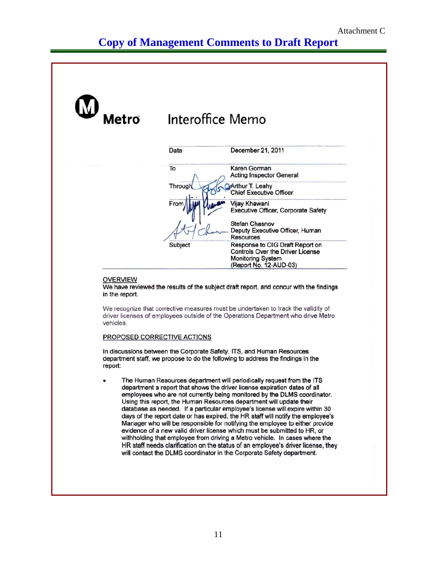## **Copy of Management Comments to Draft Report**

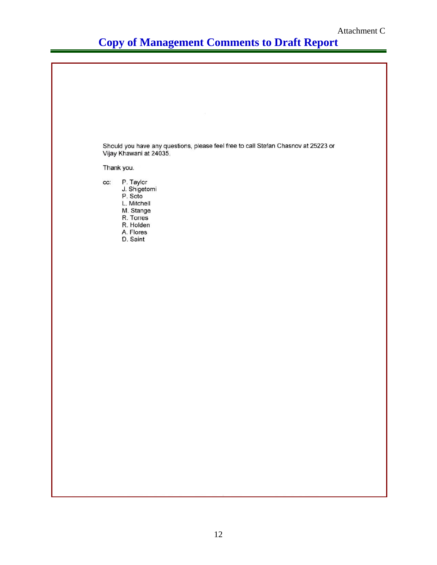## **Copy of Management Comments to Draft Report**